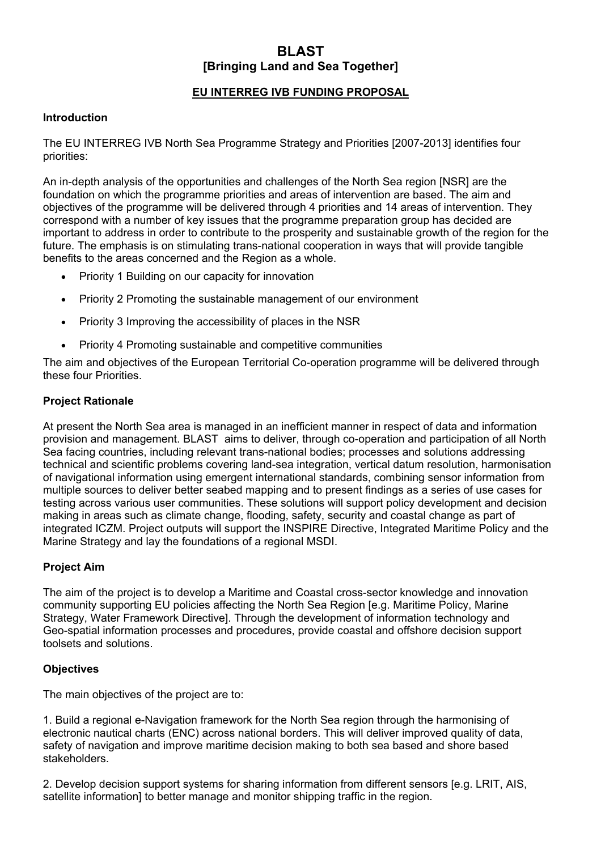# **BLAST [Bringing Land and Sea Together]**

# **EU INTERREG IVB FUNDING PROPOSAL**

#### **Introduction**

The EU INTERREG IVB North Sea Programme Strategy and Priorities [2007-2013] identifies four priorities:

An in-depth analysis of the opportunities and challenges of the North Sea region [NSR] are the foundation on which the programme priorities and areas of intervention are based. The aim and objectives of the programme will be delivered through 4 priorities and 14 areas of intervention. They correspond with a number of key issues that the programme preparation group has decided are important to address in order to contribute to the prosperity and sustainable growth of the region for the future. The emphasis is on stimulating trans-national cooperation in ways that will provide tangible benefits to the areas concerned and the Region as a whole.

- Priority 1 Building on our capacity for innovation
- Priority 2 Promoting the sustainable management of our environment
- Priority 3 Improving the accessibility of places in the NSR
- Priority 4 Promoting sustainable and competitive communities

The aim and objectives of the European Territorial Co-operation programme will be delivered through these four Priorities.

## **Project Rationale**

At present the North Sea area is managed in an inefficient manner in respect of data and information provision and management. BLAST aims to deliver, through co-operation and participation of all North Sea facing countries, including relevant trans-national bodies; processes and solutions addressing technical and scientific problems covering land-sea integration, vertical datum resolution, harmonisation of navigational information using emergent international standards, combining sensor information from multiple sources to deliver better seabed mapping and to present findings as a series of use cases for testing across various user communities. These solutions will support policy development and decision making in areas such as climate change, flooding, safety, security and coastal change as part of integrated ICZM. Project outputs will support the INSPIRE Directive, Integrated Maritime Policy and the Marine Strategy and lay the foundations of a regional MSDI.

## **Project Aim**

The aim of the project is to develop a Maritime and Coastal cross-sector knowledge and innovation community supporting EU policies affecting the North Sea Region [e.g. Maritime Policy, Marine Strategy, Water Framework Directive]. Through the development of information technology and Geo-spatial information processes and procedures, provide coastal and offshore decision support toolsets and solutions.

## **Objectives**

The main objectives of the project are to:

1. Build a regional e-Navigation framework for the North Sea region through the harmonising of electronic nautical charts (ENC) across national borders. This will deliver improved quality of data, safety of navigation and improve maritime decision making to both sea based and shore based stakeholders.

2. Develop decision support systems for sharing information from different sensors [e.g. LRIT, AIS, satellite information] to better manage and monitor shipping traffic in the region.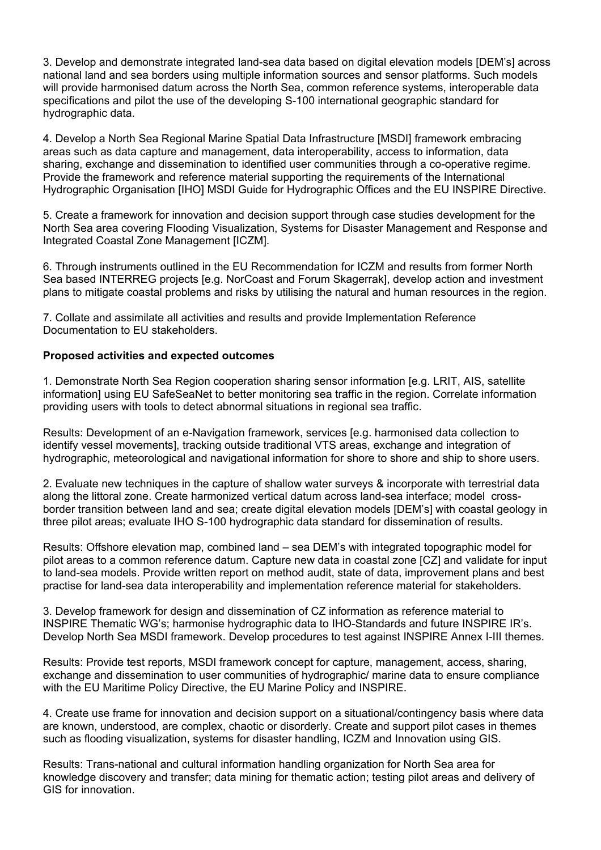3. Develop and demonstrate integrated land-sea data based on digital elevation models [DEM's] across national land and sea borders using multiple information sources and sensor platforms. Such models will provide harmonised datum across the North Sea, common reference systems, interoperable data specifications and pilot the use of the developing S-100 international geographic standard for hydrographic data.

4. Develop a North Sea Regional Marine Spatial Data Infrastructure [MSDI] framework embracing areas such as data capture and management, data interoperability, access to information, data sharing, exchange and dissemination to identified user communities through a co-operative regime. Provide the framework and reference material supporting the requirements of the International Hydrographic Organisation [IHO] MSDI Guide for Hydrographic Offices and the EU INSPIRE Directive.

5. Create a framework for innovation and decision support through case studies development for the North Sea area covering Flooding Visualization, Systems for Disaster Management and Response and Integrated Coastal Zone Management [ICZM].

6. Through instruments outlined in the EU Recommendation for ICZM and results from former North Sea based INTERREG projects [e.g. NorCoast and Forum Skagerrak], develop action and investment plans to mitigate coastal problems and risks by utilising the natural and human resources in the region.

7. Collate and assimilate all activities and results and provide Implementation Reference Documentation to EU stakeholders.

## **Proposed activities and expected outcomes**

1. Demonstrate North Sea Region cooperation sharing sensor information [e.g. LRIT, AIS, satellite information] using EU SafeSeaNet to better monitoring sea traffic in the region. Correlate information providing users with tools to detect abnormal situations in regional sea traffic.

Results: Development of an e-Navigation framework, services [e.g. harmonised data collection to identify vessel movements], tracking outside traditional VTS areas, exchange and integration of hydrographic, meteorological and navigational information for shore to shore and ship to shore users.

2. Evaluate new techniques in the capture of shallow water surveys & incorporate with terrestrial data along the littoral zone. Create harmonized vertical datum across land-sea interface; model crossborder transition between land and sea; create digital elevation models [DEM's] with coastal geology in three pilot areas; evaluate IHO S-100 hydrographic data standard for dissemination of results.

Results: Offshore elevation map, combined land – sea DEM's with integrated topographic model for pilot areas to a common reference datum. Capture new data in coastal zone [CZ] and validate for input to land-sea models. Provide written report on method audit, state of data, improvement plans and best practise for land-sea data interoperability and implementation reference material for stakeholders.

3. Develop framework for design and dissemination of CZ information as reference material to INSPIRE Thematic WG's; harmonise hydrographic data to IHO-Standards and future INSPIRE IR's. Develop North Sea MSDI framework. Develop procedures to test against INSPIRE Annex I-III themes.

Results: Provide test reports, MSDI framework concept for capture, management, access, sharing, exchange and dissemination to user communities of hydrographic/ marine data to ensure compliance with the EU Maritime Policy Directive, the EU Marine Policy and INSPIRE.

4. Create use frame for innovation and decision support on a situational/contingency basis where data are known, understood, are complex, chaotic or disorderly. Create and support pilot cases in themes such as flooding visualization, systems for disaster handling, ICZM and Innovation using GIS.

Results: Trans-national and cultural information handling organization for North Sea area for knowledge discovery and transfer; data mining for thematic action; testing pilot areas and delivery of GIS for innovation.